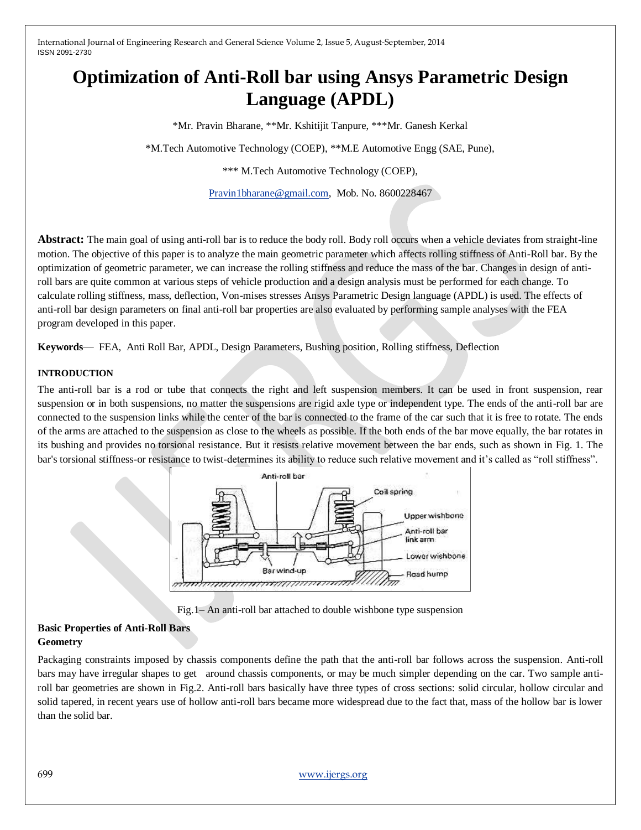# **Optimization of Anti-Roll bar using Ansys Parametric Design Language (APDL)**

\*Mr. Pravin Bharane, \*\*Mr. Kshitijit Tanpure, \*\*\*Mr. Ganesh Kerkal

\*M.Tech Automotive Technology (COEP), \*\*M.E Automotive Engg (SAE, Pune),

\*\*\* M.Tech Automotive Technology (COEP),

[Pravin1bharane@gmail.com,](mailto:Pravin1bharane@gmail.com) Mob. No. 8600228467

**Abstract:** The main goal of using anti-roll bar is to reduce the body roll. Body roll occurs when a vehicle deviates from straight-line motion. The objective of this paper is to analyze the main geometric parameter which affects rolling stiffness of Anti-Roll bar. By the optimization of geometric parameter, we can increase the rolling stiffness and reduce the mass of the bar. Changes in design of antiroll bars are quite common at various steps of vehicle production and a design analysis must be performed for each change. To calculate rolling stiffness, mass, deflection, Von-mises stresses Ansys Parametric Design language (APDL) is used. The effects of anti-roll bar design parameters on final anti-roll bar properties are also evaluated by performing sample analyses with the FEA program developed in this paper.

**Keywords**— FEA, Anti Roll Bar, APDL, Design Parameters, Bushing position, Rolling stiffness, Deflection

#### **INTRODUCTION**

The anti-roll bar is a rod or tube that connects the right and left suspension members. It can be used in front suspension, rear suspension or in both suspensions, no matter the suspensions are rigid axle type or independent type. The ends of the anti-roll bar are connected to the suspension links while the center of the bar is connected to the frame of the car such that it is free to rotate. The ends of the arms are attached to the suspension as close to the wheels as possible. If the both ends of the bar move equally, the bar rotates in its bushing and provides no torsional resistance. But it resists relative movement between the bar ends, such as shown in Fig. 1. The bar's torsional stiffness-or resistance to twist-determines its ability to reduce such relative movement and it's called as "roll stiffness".



Fig.1– An anti-roll bar attached to double wishbone type suspension

### **Basic Properties of Anti-Roll Bars Geometry**

Packaging constraints imposed by chassis components define the path that the anti-roll bar follows across the suspension. Anti-roll bars may have irregular shapes to get around chassis components, or may be much simpler depending on the car. Two sample antiroll bar geometries are shown in Fig.2. Anti-roll bars basically have three types of cross sections: solid circular, hollow circular and solid tapered, in recent years use of hollow anti-roll bars became more widespread due to the fact that, mass of the hollow bar is lower than the solid bar.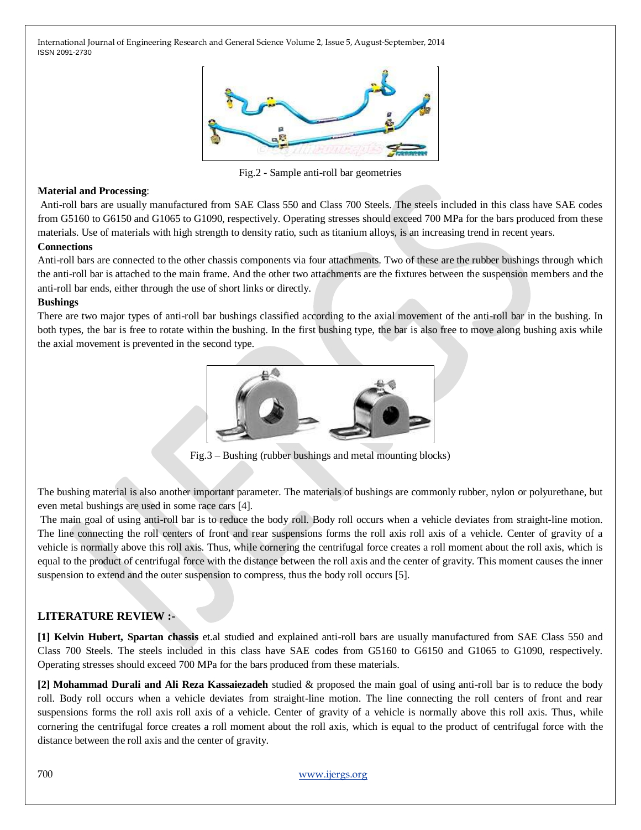

Fig.2 - Sample anti-roll bar geometries

### **Material and Processing**:

Anti-roll bars are usually manufactured from SAE Class 550 and Class 700 Steels. The steels included in this class have SAE codes from G5160 to G6150 and G1065 to G1090, respectively. Operating stresses should exceed 700 MPa for the bars produced from these materials. Use of materials with high strength to density ratio, such as titanium alloys, is an increasing trend in recent years.

### **Connections**

Anti-roll bars are connected to the other chassis components via four attachments. Two of these are the rubber bushings through which the anti-roll bar is attached to the main frame. And the other two attachments are the fixtures between the suspension members and the anti-roll bar ends, either through the use of short links or directly.

### **Bushings**

There are two major types of anti-roll bar bushings classified according to the axial movement of the anti-roll bar in the bushing. In both types, the bar is free to rotate within the bushing. In the first bushing type, the bar is also free to move along bushing axis while the axial movement is prevented in the second type.



Fig.3 – Bushing (rubber bushings and metal mounting blocks)

The bushing material is also another important parameter. The materials of bushings are commonly rubber, nylon or polyurethane, but even metal bushings are used in some race cars [4].

The main goal of using anti-roll bar is to reduce the body roll. Body roll occurs when a vehicle deviates from straight-line motion. The line connecting the roll centers of front and rear suspensions forms the roll axis roll axis of a vehicle. Center of gravity of a vehicle is normally above this roll axis. Thus, while cornering the centrifugal force creates a roll moment about the roll axis, which is equal to the product of centrifugal force with the distance between the roll axis and the center of gravity. This moment causes the inner suspension to extend and the outer suspension to compress, thus the body roll occurs [5].

## **LITERATURE REVIEW :-**

**[1] Kelvin Hubert, Spartan chassis** et.al studied and explained anti-roll bars are usually manufactured from SAE Class 550 and Class 700 Steels. The steels included in this class have SAE codes from G5160 to G6150 and G1065 to G1090, respectively. Operating stresses should exceed 700 MPa for the bars produced from these materials.

**[2] Mohammad Durali and Ali Reza Kassaiezadeh** studied & proposed the main goal of using anti-roll bar is to reduce the body roll. Body roll occurs when a vehicle deviates from straight-line motion. The line connecting the roll centers of front and rear suspensions forms the roll axis roll axis of a vehicle. Center of gravity of a vehicle is normally above this roll axis. Thus, while cornering the centrifugal force creates a roll moment about the roll axis, which is equal to the product of centrifugal force with the distance between the roll axis and the center of gravity.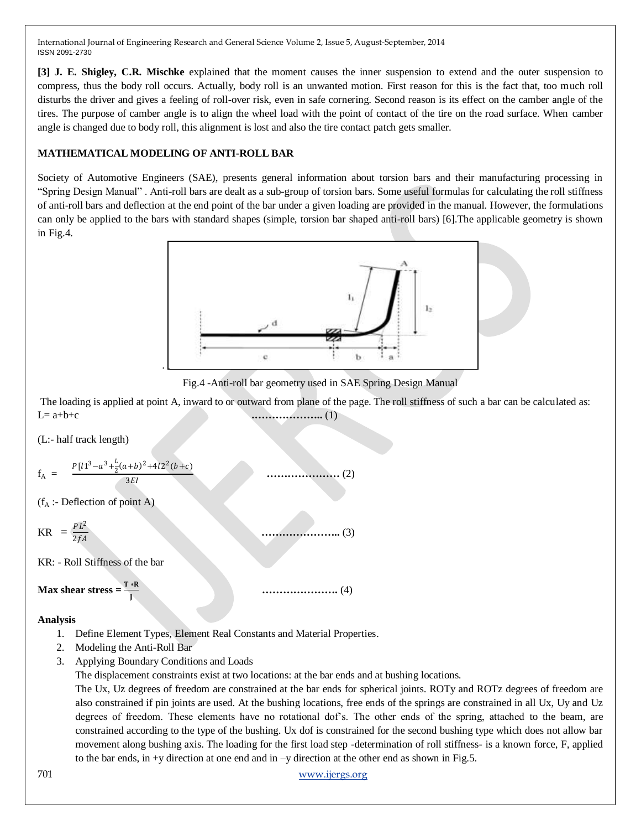**[3] J. E. Shigley, C.R. Mischke** explained that the moment causes the inner suspension to extend and the outer suspension to compress, thus the body roll occurs. Actually, body roll is an unwanted motion. First reason for this is the fact that, too much roll disturbs the driver and gives a feeling of roll-over risk, even in safe cornering. Second reason is its effect on the camber angle of the tires. The purpose of camber angle is to align the wheel load with the point of contact of the tire on the road surface. When camber angle is changed due to body roll, this alignment is lost and also the tire contact patch gets smaller.

## **MATHEMATICAL MODELING OF ANTI-ROLL BAR**

Society of Automotive Engineers (SAE), presents general information about torsion bars and their manufacturing processing in ―Spring Design Manual‖ . Anti-roll bars are dealt as a sub-group of torsion bars. Some useful formulas for calculating the roll stiffness of anti-roll bars and deflection at the end point of the bar under a given loading are provided in the manual. However, the formulations can only be applied to the bars with standard shapes (simple, torsion bar shaped anti-roll bars) [6].The applicable geometry is shown in Fig.4.



Fig.4 -Anti-roll bar geometry used in SAE Spring Design Manual

The loading is applied at point A, inward to or outward from plane of the page. The roll stiffness of such a bar can be calculated as: L= a+b+c **.………………..** (1)

 **…………………** (2)

(L:- half track length)

$$
f_{A} = \frac{P[l1^3 - a^3 + \frac{L}{2}(a+b)^2 + 4l2^2(b+c)}{3EI}
$$

 $(f_A :$ - Deflection of point A)

$$
KR = \frac{PL^2}{2fA}
$$

KR: - Roll Stiffness of the bar

$$
Max shear stress = \frac{T * R}{J}
$$

 **………………….** (4)

 **…………………..** (3)

## **Analysis**

- 1. Define Element Types, Element Real Constants and Material Properties.
- 2. Modeling the Anti-Roll Bar
- 3. Applying Boundary Conditions and Loads

The displacement constraints exist at two locations: at the bar ends and at bushing locations.

The Ux, Uz degrees of freedom are constrained at the bar ends for spherical joints. ROTy and ROTz degrees of freedom are also constrained if pin joints are used. At the bushing locations, free ends of the springs are constrained in all Ux, Uy and Uz degrees of freedom. These elements have no rotational dof's. The other ends of the spring, attached to the beam, are constrained according to the type of the bushing. Ux dof is constrained for the second bushing type which does not allow bar movement along bushing axis. The loading for the first load step -determination of roll stiffness- is a known force, F, applied to the bar ends, in +y direction at one end and in  $-y$  direction at the other end as shown in Fig.5.

701 [www.ijergs.org](http://www.ijergs.org/)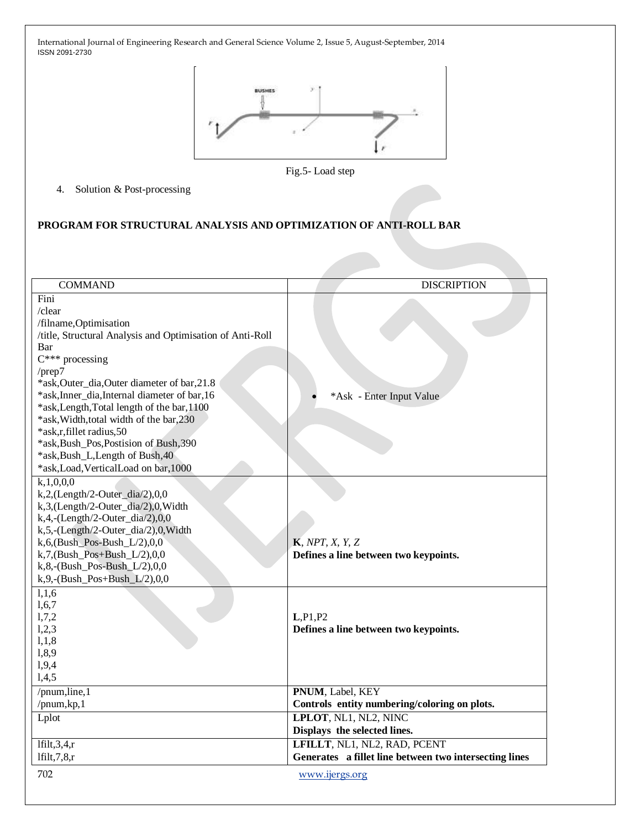

Fig.5- Load step

4. Solution & Post-processing

## **PROGRAM FOR STRUCTURAL ANALYSIS AND OPTIMIZATION OF ANTI-ROLL BAR**

| <b>COMMAND</b>                                            | <b>DISCRIPTION</b>                                     |
|-----------------------------------------------------------|--------------------------------------------------------|
| Fini                                                      |                                                        |
| /clear                                                    |                                                        |
| /filname, Optimisation                                    |                                                        |
| /title, Structural Analysis and Optimisation of Anti-Roll |                                                        |
| Bar                                                       |                                                        |
| $C^{***}$ processing                                      |                                                        |
| /prep7                                                    |                                                        |
| *ask, Outer_dia, Outer diameter of bar, 21.8              |                                                        |
| *ask, Inner dia, Internal diameter of bar, 16             | *Ask - Enter Input Value                               |
| *ask, Length, Total length of the bar, 1100               |                                                        |
| *ask, Width, total width of the bar, 230                  |                                                        |
| *ask,r,fillet radius,50                                   |                                                        |
| *ask, Bush_Pos, Postision of Bush, 390                    |                                                        |
| *ask, Bush_L, Length of Bush, 40                          |                                                        |
| *ask, Load, Vertical Load on bar, 1000                    |                                                        |
| k, 1, 0, 0, 0                                             |                                                        |
| k,2,(Length/2-Outer_dia/2),0,0                            |                                                        |
| k,3,(Length/2-Outer_dia/2),0,Width                        |                                                        |
| k,4,- $(Length/2$ -Outer dia/2),0,0                       |                                                        |
| k,5,-(Length/2-Outer_dia/2),0, Width                      |                                                        |
| k, 6, (Bush_Pos-Bush_L/2), $0,0$                          | $K$ , NPT, X, Y, Z                                     |
| k, 7, (Bush_Pos+Bush_L/2), $0,0$                          | Defines a line between two keypoints.                  |
| k, 8, - (Bush_Pos-Bush_L/2), $0,0$                        |                                                        |
| k, 9, - (Bush_Pos+Bush_L/2), 0, 0                         |                                                        |
| 1,1,6                                                     |                                                        |
| 1,6,7                                                     |                                                        |
| 1,7,2                                                     | L, P1, P2                                              |
| 1,2,3                                                     | Defines a line between two keypoints.                  |
| 1,1,8                                                     |                                                        |
| 1,8,9                                                     |                                                        |
| 1,9,4<br>1,4,5                                            |                                                        |
|                                                           |                                                        |
| /pnum,line,1                                              | PNUM, Label, KEY                                       |
| /pnum, $kp,1$                                             | Controls entity numbering/coloring on plots.           |
| Lplot                                                     | LPLOT, NL1, NL2, NINC                                  |
|                                                           | Displays the selected lines.                           |
| $1$ filt, $3, 4, r$                                       | LFILLT, NL1, NL2, RAD, PCENT                           |
| $If$ ilt, $7, 8, r$                                       | Generates a fillet line between two intersecting lines |
| 702                                                       | www.ijergs.org                                         |
|                                                           |                                                        |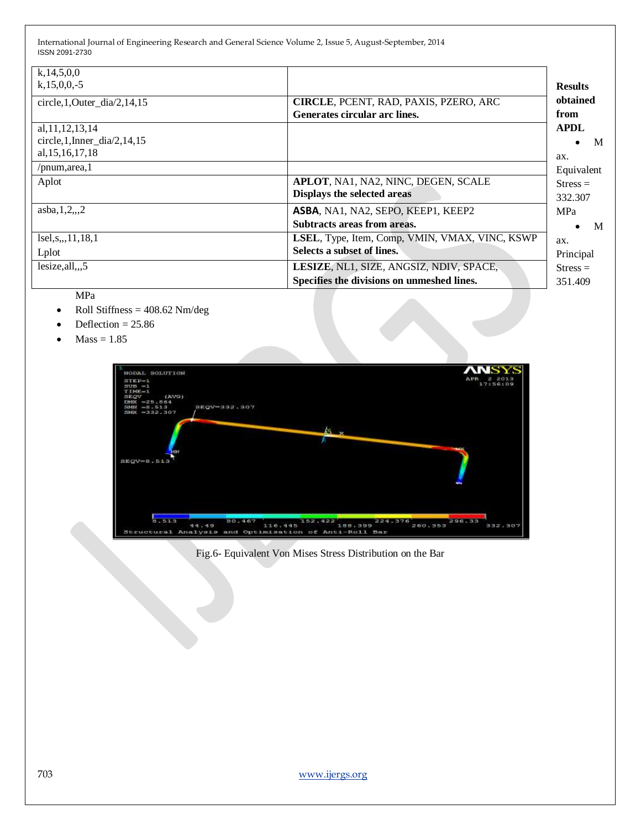| k, 14, 5, 0, 0<br>$k$ , 15, 0, 0, -5<br>circle, $1$ , Outer_dia $/2$ , $14$ , $15$ | CIRCLE, PCENT, RAD, PAXIS, PZERO, ARC<br>Generates circular arc lines. | <b>Results</b><br>obtained<br>from |
|------------------------------------------------------------------------------------|------------------------------------------------------------------------|------------------------------------|
| al, 11, 12, 13, 14<br>circle, 1, Inner dia $/2$ , 14, 15<br>al, 15, 16, 17, 18     |                                                                        | <b>APDL</b><br>M<br>ax.            |
| /pnum, area, $1$                                                                   |                                                                        | Equivalent                         |
| Aplot                                                                              | APLOT, NA1, NA2, NINC, DEGEN, SCALE<br>Displays the selected areas     | $Stress =$<br>332.307              |
| $a$ sba, 1, 2, ., 2                                                                | ASBA, NA1, NA2, SEPO, KEEP1, KEEP2<br>Subtracts areas from areas.      | MPa<br>M                           |
| lsel, s, ,, 11, 18, 1                                                              | LSEL, Type, Item, Comp, VMIN, VMAX, VINC, KSWP                         | ax.                                |
| Lplot                                                                              | Selects a subset of lines.                                             | Principal                          |
| lesize, all, .5                                                                    | LESIZE, NL1, SIZE, ANGSIZ, NDIV, SPACE,                                | $Stress =$                         |
|                                                                                    | Specifies the divisions on unmeshed lines.                             | 351.409                            |

## MPa

- Roll Stiffness = 408.62 Nm/deg
- Deflection  $= 25.86$
- $Mass = 1.85$



## Fig.6- Equivalent Von Mises Stress Distribution on the Bar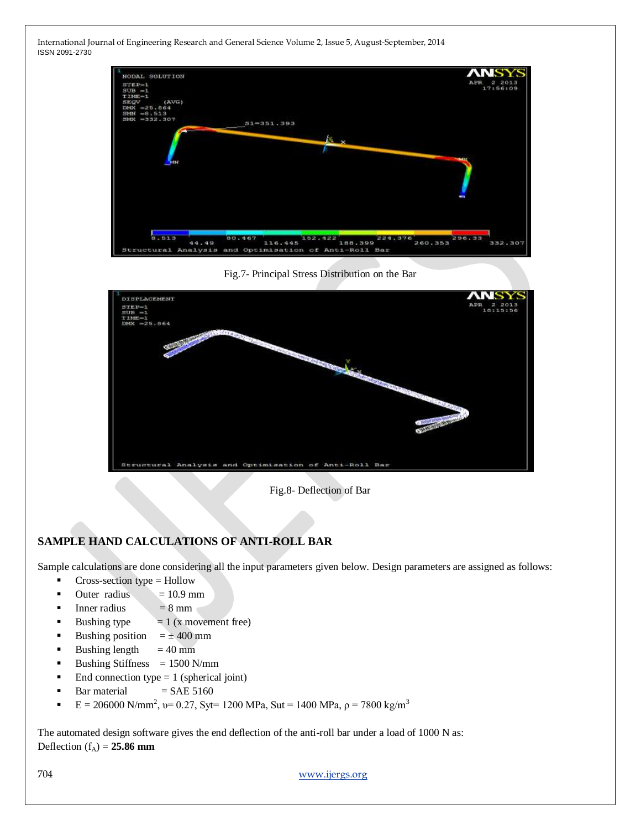

Fig.7- Principal Stress Distribution on the Bar



Fig.8- Deflection of Bar

# **SAMPLE HAND CALCULATIONS OF ANTI-ROLL BAR**

Sample calculations are done considering all the input parameters given below. Design parameters are assigned as follows:

- Cross-section type = Hollow
- Outer radius  $= 10.9$  mm
- Inner radius  $= 8$  mm
- Bushing type  $= 1$  (x movement free)
- Bushing position  $= \pm 400$  mm
- Bushing length  $= 40$  mm
- Bushing Stiffness  $= 1500$  N/mm
- End connection type  $= 1$  (spherical joint)
- $Bar material = SAE 5160$
- E = 206000 N/mm<sup>2</sup>, v= 0.27, Syt= 1200 MPa, Sut = 1400 MPa,  $\rho$  = 7800 kg/m<sup>3</sup>

The automated design software gives the end deflection of the anti-roll bar under a load of 1000 N as: Deflection  $(f_A) = 25.86$  mm

704 [www.ijergs.org](http://www.ijergs.org/)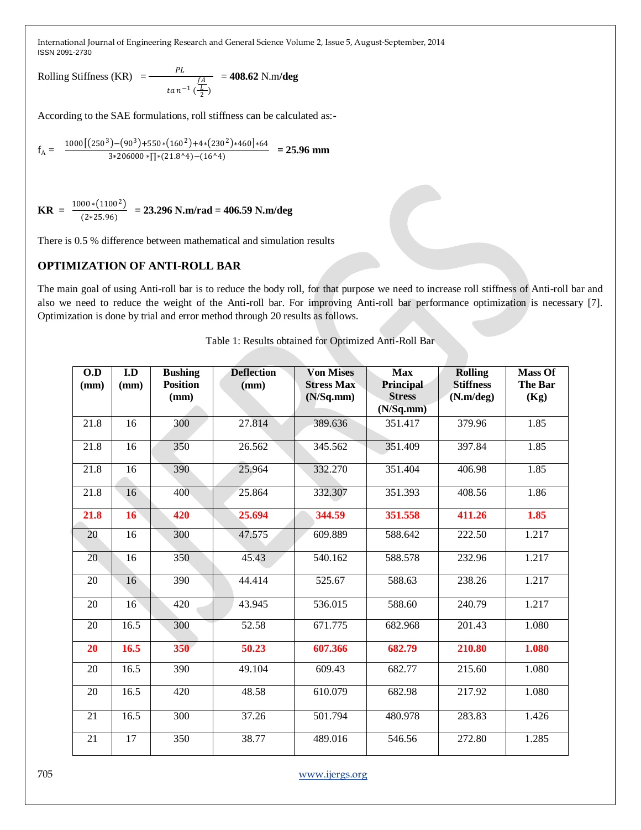Rolling Stiffness (KR)  $=$   $\frac{PL}{PL}$  $\tan^{-1}\left(\frac{\frac{fA}{L}}{2}\right)$ = **408.62** N.m**/deg**

According to the SAE formulations, roll stiffness can be calculated as:-

$$
f_{\rm A} = \frac{1000 \left[ (250^3) - (90^3) + 550 * (160^2) + 4 * (230^2) * 460 \right] * 64}{3 * 206000 * \prod^2 (21.8^\circ 4) - (16^\circ 4)} = 25.96 \textrm{ mm}
$$

**KR** =  $\frac{1000*(1100^2)}{(2.25.00)}$  $\frac{(2*25.96)}{(2*25.96)}$  = 23.296 N.m/rad = 406.59 N.m/deg

There is 0.5 % difference between mathematical and simulation results

## **OPTIMIZATION OF ANTI-ROLL BAR**

The main goal of using Anti-roll bar is to reduce the body roll, for that purpose we need to increase roll stiffness of Anti-roll bar and also we need to reduce the weight of the Anti-roll bar. For improving Anti-roll bar performance optimization is necessary [7]. Optimization is done by trial and error method through 20 results as follows.

| O.D<br>(mm) | I.D<br>(mm) | <b>Bushing</b><br><b>Position</b><br>(mm) | <b>Deflection</b><br>(mm) | <b>Von Mises</b><br><b>Stress Max</b><br>(N/Sq/mm) | <b>Max</b><br>Principal<br><b>Stress</b><br>(N/Sq/mm) | <b>Rolling</b><br><b>Stiffness</b><br>(N.m/deg) | <b>Mass Of</b><br><b>The Bar</b><br>(Kg) |
|-------------|-------------|-------------------------------------------|---------------------------|----------------------------------------------------|-------------------------------------------------------|-------------------------------------------------|------------------------------------------|
| 21.8        | 16          | 300                                       | 27.814                    | 389.636                                            | 351.417                                               | 379.96                                          | 1.85                                     |
| 21.8        | 16          | 350                                       | 26.562                    | 345.562                                            | 351.409                                               | 397.84                                          | 1.85                                     |
| 21.8        | 16          | 390                                       | 25.964                    | 332.270                                            | 351.404                                               | 406.98                                          | 1.85                                     |
| 21.8        | 16          | 400                                       | 25.864                    | 332.307                                            | 351.393                                               | 408.56                                          | 1.86                                     |
| 21.8        | 16          | 420                                       | 25.694                    | 344.59                                             | 351.558                                               | 411.26                                          | 1.85                                     |
| 20          | 16          | 300                                       | 47.575                    | 609.889                                            | 588.642                                               | 222.50                                          | 1.217                                    |
| 20          | 16          | 350                                       | 45.43                     | 540.162                                            | 588.578                                               | 232.96                                          | 1.217                                    |
| 20          | 16          | 390                                       | 44.414                    | 525.67                                             | 588.63                                                | 238.26                                          | 1.217                                    |
| 20          | 16          | 420                                       | 43.945                    | 536.015                                            | 588.60                                                | 240.79                                          | 1.217                                    |
| 20          | 16.5        | 300                                       | 52.58                     | 671.775                                            | 682.968                                               | 201.43                                          | 1.080                                    |
| 20          | 16.5        | 350                                       | 50.23                     | 607.366                                            | 682.79                                                | 210.80                                          | 1.080                                    |
| 20          | 16.5        | 390                                       | 49.104                    | 609.43                                             | 682.77                                                | 215.60                                          | 1.080                                    |
| 20          | 16.5        | 420                                       | 48.58                     | 610.079                                            | 682.98                                                | 217.92                                          | 1.080                                    |
| 21          | 16.5        | 300                                       | 37.26                     | 501.794                                            | 480.978                                               | 283.83                                          | 1.426                                    |
| 21          | 17          | 350                                       | 38.77                     | 489.016                                            | 546.56                                                | 272.80                                          | 1.285                                    |

Table 1: Results obtained for Optimized Anti-Roll Bar